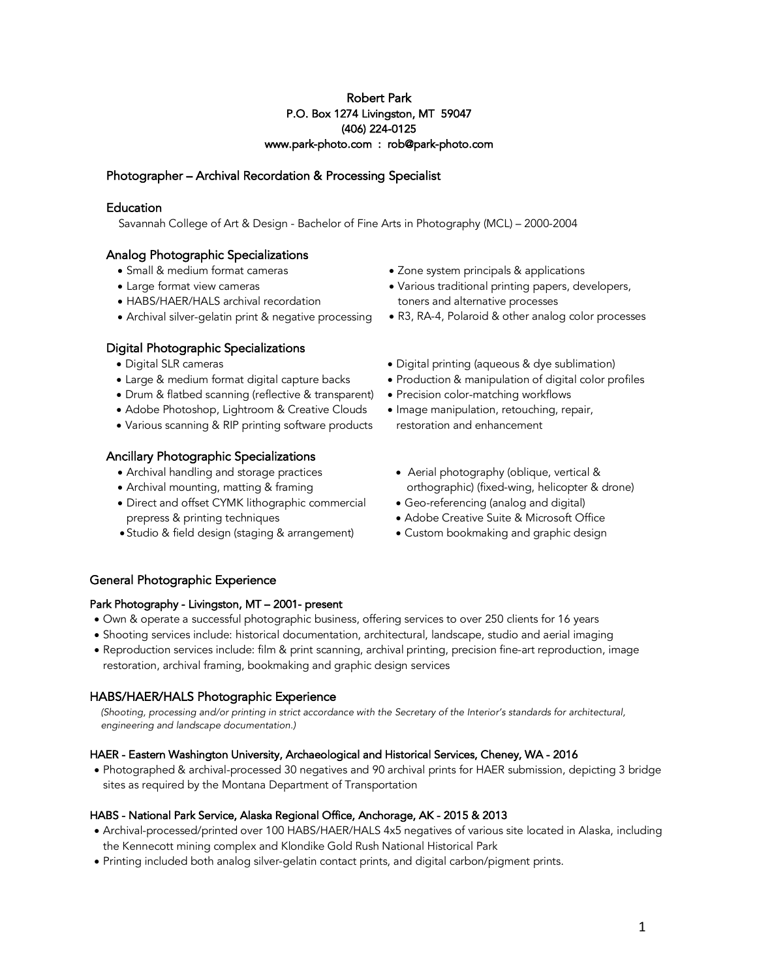## Robert Park P.O. Box 1274 Livingston, MT 59047 (406) 224-0125 www.park-photo.com : rob@park-photo.com

# Photographer – Archival Recordation & Processing Specialist

## **Education**

Savannah College of Art & Design - Bachelor of Fine Arts in Photography (MCL) – 2000-2004

# Analog Photographic Specializations

- Small & medium format cameras
- Large format view cameras
- HABS/HAER/HALS archival recordation
- Archival silver-gelatin print & negative processing

# Digital Photographic Specializations

- Digital SLR cameras
- Large & medium format digital capture backs
- Drum & flatbed scanning (reflective & transparent)
- Adobe Photoshop, Lightroom & Creative Clouds
- Various scanning & RIP printing software products

# Ancillary Photographic Specializations

- Archival handling and storage practices
- Archival mounting, matting & framing
- Direct and offset CYMK lithographic commercial prepress & printing techniques
- Studio & field design (staging & arrangement)
- Zone system principals & applications
- Various traditional printing papers, developers, toners and alternative processes
- R3, RA-4, Polaroid & other analog color processes
- Digital printing (aqueous & dye sublimation)
- Production & manipulation of digital color profiles
- Precision color-matching workflows
- Image manipulation, retouching, repair, restoration and enhancement
- Aerial photography (oblique, vertical & orthographic) (fixed-wing, helicopter & drone)
- Geo-referencing (analog and digital)
- Adobe Creative Suite & Microsoft Office
- Custom bookmaking and graphic design

# General Photographic Experience

## Park Photography - Livingston, MT – 2001- present

- Own & operate a successful photographic business, offering services to over 250 clients for 16 years
- Shooting services include: historical documentation, architectural, landscape, studio and aerial imaging
- Reproduction services include: film & print scanning, archival printing, precision fine-art reproduction, image restoration, archival framing, bookmaking and graphic design services

# HABS/HAER/HALS Photographic Experience

 *(Shooting, processing and/or printing in strict accordance with the Secretary of the Interior's standards for architectural, engineering and landscape documentation.)*

# HAER - Eastern Washington University, Archaeological and Historical Services, Cheney, WA - 2016

• Photographed & archival-processed 30 negatives and 90 archival prints for HAER submission, depicting 3 bridge sites as required by the Montana Department of Transportation

# HABS - National Park Service, Alaska Regional Office, Anchorage, AK - 2015 & 2013

- Archival-processed/printed over 100 HABS/HAER/HALS 4x5 negatives of various site located in Alaska, including the Kennecott mining complex and Klondike Gold Rush National Historical Park
- Printing included both analog silver-gelatin contact prints, and digital carbon/pigment prints.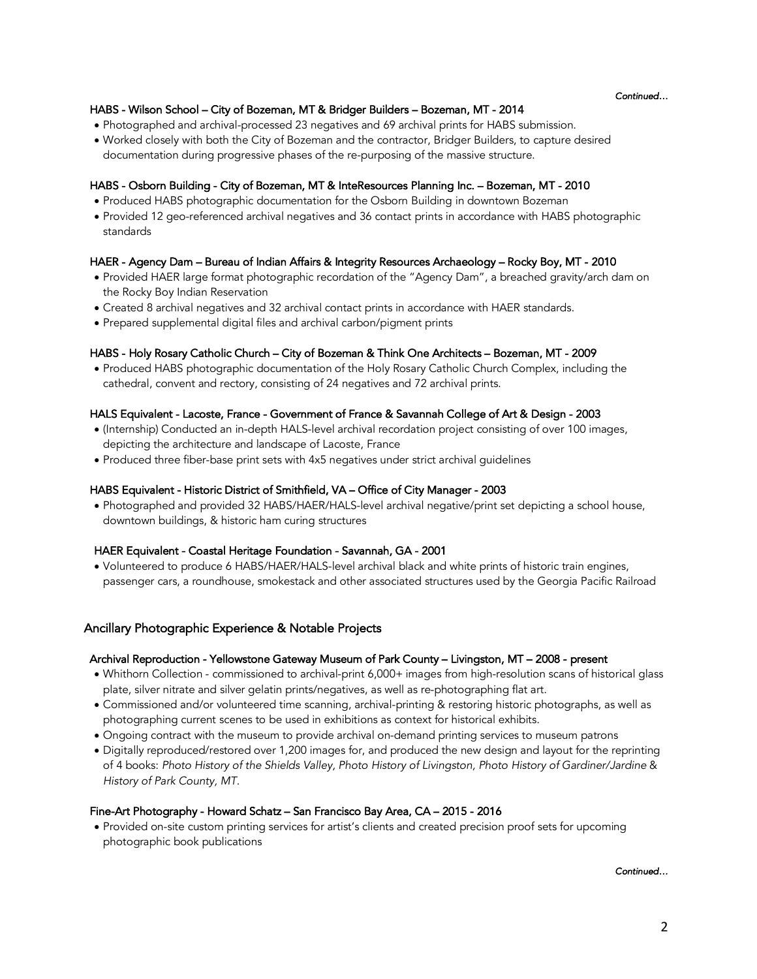*Continued…* 

## HABS - Wilson School – City of Bozeman, MT & Bridger Builders – Bozeman, MT - 2014

- Photographed and archival-processed 23 negatives and 69 archival prints for HABS submission.
- Worked closely with both the City of Bozeman and the contractor, Bridger Builders, to capture desired documentation during progressive phases of the re-purposing of the massive structure.

### HABS - Osborn Building - City of Bozeman, MT & InteResources Planning Inc. – Bozeman, MT - 2010

- Produced HABS photographic documentation for the Osborn Building in downtown Bozeman
- Provided 12 geo-referenced archival negatives and 36 contact prints in accordance with HABS photographic standards

## HAER - Agency Dam – Bureau of Indian Affairs & Integrity Resources Archaeology – Rocky Boy, MT - 2010

- Provided HAER large format photographic recordation of the "Agency Dam", a breached gravity/arch dam on the Rocky Boy Indian Reservation
- Created 8 archival negatives and 32 archival contact prints in accordance with HAER standards.
- Prepared supplemental digital files and archival carbon/pigment prints

### HABS - Holy Rosary Catholic Church – City of Bozeman & Think One Architects – Bozeman, MT - 2009

• Produced HABS photographic documentation of the Holy Rosary Catholic Church Complex, including the cathedral, convent and rectory, consisting of 24 negatives and 72 archival prints.

### HALS Equivalent - Lacoste, France - Government of France & Savannah College of Art & Design - 2003

- (Internship) Conducted an in-depth HALS-level archival recordation project consisting of over 100 images, depicting the architecture and landscape of Lacoste, France
- Produced three fiber-base print sets with 4x5 negatives under strict archival guidelines

### HABS Equivalent - Historic District of Smithfield, VA – Office of City Manager - 2003

• Photographed and provided 32 HABS/HAER/HALS-level archival negative/print set depicting a school house, downtown buildings, & historic ham curing structures

### HAER Equivalent - Coastal Heritage Foundation - Savannah, GA - 2001

• Volunteered to produce 6 HABS/HAER/HALS-level archival black and white prints of historic train engines, passenger cars, a roundhouse, smokestack and other associated structures used by the Georgia Pacific Railroad

## Ancillary Photographic Experience & Notable Projects

### Archival Reproduction - Yellowstone Gateway Museum of Park County – Livingston, MT – 2008 - present

- Whithorn Collection commissioned to archival-print 6,000+ images from high-resolution scans of historical glass plate, silver nitrate and silver gelatin prints/negatives, as well as re-photographing flat art.
- Commissioned and/or volunteered time scanning, archival-printing & restoring historic photographs, as well as photographing current scenes to be used in exhibitions as context for historical exhibits.
- Ongoing contract with the museum to provide archival on-demand printing services to museum patrons
- Digitally reproduced/restored over 1,200 images for, and produced the new design and layout for the reprinting of 4 books: *Photo History of the Shields Valley, Photo History of Livingston, Photo History of Gardiner/Jardine* & *History of Park County, MT.*

### Fine-Art Photography - Howard Schatz – San Francisco Bay Area, CA – 2015 - 2016

• Provided on-site custom printing services for artist's clients and created precision proof sets for upcoming photographic book publications

*Continued…*